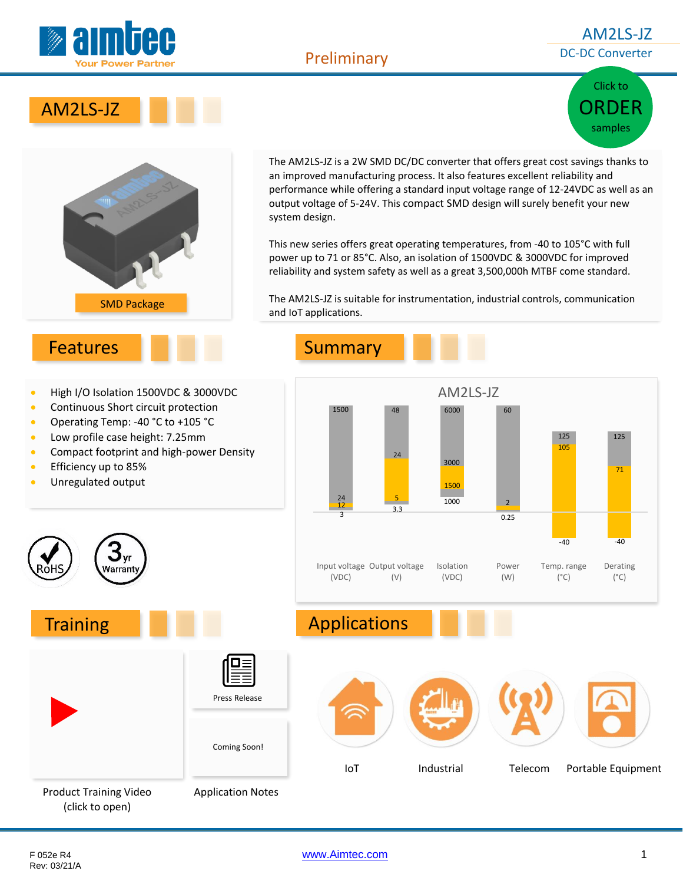

### AM2LS-JZ DC-DC Converter

Click to

[ORDER](http://www.aimtec.com/am2ls-jz) samples





• Continuous Short circuit protection • Operating Temp: -40 °C to +105 °C • Low profile case height: 7.25mm

**Narrant** 

The AM2LS-JZ is a 2W SMD DC/DC converter that offers great cost savings thanks to an improved manufacturing process. It also features excellent reliability and performance while offering a standard input voltage range of 12-24VDC as well as an output voltage of 5-24V. This compact SMD design will surely benefit your new system design.

This new series offers great operating temperatures, from -40 to 105°C with full power up to 71 or 85°C. Also, an isolation of 1500VDC & 3000VDC for improved reliability and system safety as well as a great 3,500,000h MTBF come standard.

The AM2LS-JZ is suitable for instrumentation, industrial controls, communication and IoT applications.

**•** Efficiency up to 85% • Unregulated output







(click to open)

Rev: 03/21/A

F 052e R4 [www.Aimtec.com](http://www.aimtec.com/) 1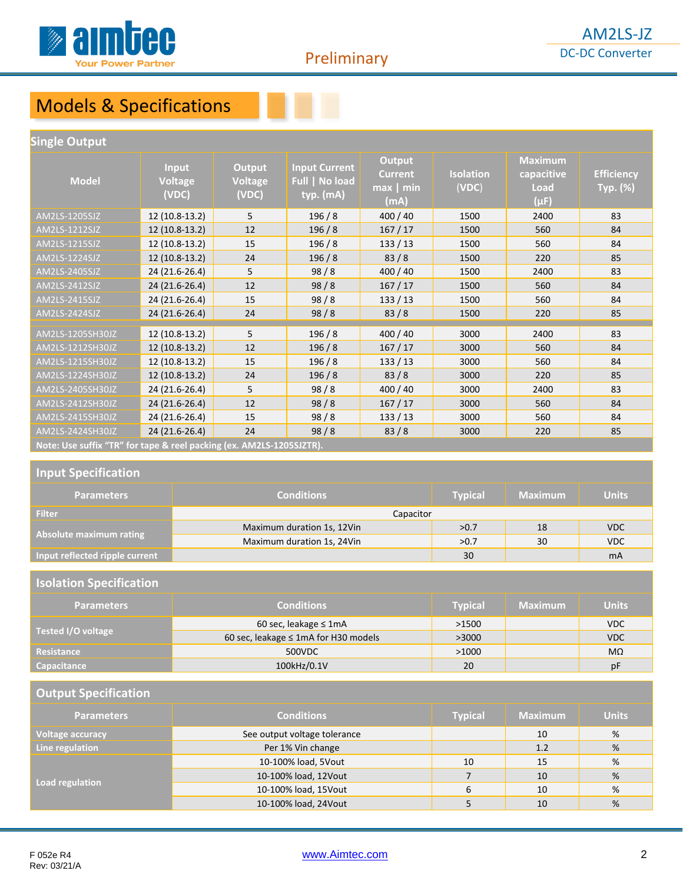

# Models & Specifications

#### **Single Output**

| <b>Model</b>                                                         | <b>Input</b><br><b>Voltage</b><br>(VDC) | Output<br><b>Voltage</b><br>(VDC) | <b>Input Current</b><br>Full   No load<br>typ. (mA) | <b>Output</b><br><b>Current</b><br>$max$   min<br>(mA) | <b>Isolation</b><br>(VDC) | <b>Maximum</b><br>capacitive<br>Load<br>$(\mu F)$ | <b>Efficiency</b><br>Typ. (%) |  |
|----------------------------------------------------------------------|-----------------------------------------|-----------------------------------|-----------------------------------------------------|--------------------------------------------------------|---------------------------|---------------------------------------------------|-------------------------------|--|
| AM2LS-1205SJZ                                                        | 12 (10.8-13.2)                          | 5                                 | 196/8                                               | 400 / 40                                               | 1500                      | 2400                                              | 83                            |  |
| AM2LS-1212SJZ                                                        | 12 (10.8-13.2)                          | 12                                | 196/8                                               | 167/17                                                 | 1500                      | 560                                               | 84                            |  |
| AM2LS-1215SJZ                                                        | 12 (10.8-13.2)                          | 15                                | 196/8                                               | 133/13                                                 | 1500                      | 560                                               | 84                            |  |
| AM2LS-1224SJZ                                                        | 12 (10.8-13.2)                          | 24                                | 196/8                                               | 83/8                                                   | 1500                      | 220                                               | 85                            |  |
| AM2LS-2405SJZ                                                        | 24 (21.6-26.4)                          | 5                                 | 98/8                                                | 400 / 40                                               | 1500                      | 2400                                              | 83                            |  |
| AM2LS-2412SJZ                                                        | 24 (21.6-26.4)                          | 12                                | 98/8                                                | 167/17                                                 | 1500                      | 560                                               | 84                            |  |
| AM2LS-2415SJZ                                                        | 24 (21.6-26.4)                          | 15                                | 98/8                                                | 133/13                                                 | 1500                      | 560                                               | 84                            |  |
| AM2LS-2424SJZ                                                        | 24 (21.6-26.4)                          | 24                                | 98/8                                                | 83/8                                                   | 1500                      | 220                                               | 85                            |  |
| AM2LS-1205SH30JZ                                                     | 12 (10.8-13.2)                          | 5                                 | 196/8                                               | 400 / 40                                               | 3000                      | 2400                                              | 83                            |  |
| AM2LS-1212SH30JZ                                                     | 12 (10.8-13.2)                          | 12                                | 196/8                                               | 167/17                                                 | 3000                      | 560                                               | 84                            |  |
| AM2LS-1215SH30JZ                                                     | 12 (10.8-13.2)                          | 15                                | 196/8                                               | 133/13                                                 | 3000                      | 560                                               | 84                            |  |
| AM2LS-1224SH30JZ                                                     | 12 (10.8-13.2)                          | 24                                | 196/8                                               | 83/8                                                   | 3000                      | 220                                               | 85                            |  |
| AM2LS-2405SH30JZ                                                     | 24 (21.6-26.4)                          | 5                                 | 98/8                                                | 400 / 40                                               | 3000                      | 2400                                              | 83                            |  |
| AM2LS-2412SH30JZ                                                     | 24 (21.6-26.4)                          | 12                                | 98/8                                                | 167/17                                                 | 3000                      | 560                                               | 84                            |  |
| AM2LS-2415SH30JZ                                                     | 24 (21.6-26.4)                          | 15                                | 98/8                                                | 133/13                                                 | 3000                      | 560                                               | 84                            |  |
| AM2LS-2424SH30JZ                                                     | 24 (21.6-26.4)                          | 24                                | 98/8                                                | 83/8                                                   | 3000                      | 220                                               | 85                            |  |
| Note: Use suffix "TR" for tape & reel packing (ex. AM2LS-1205SJZTR). |                                         |                                   |                                                     |                                                        |                           |                                                   |                               |  |

#### **Input Specification**

| <b>Parameters</b>              | <b>Conditions</b>          | <b>Typical</b> | <b>Maximum</b> | <b>Units</b>   |
|--------------------------------|----------------------------|----------------|----------------|----------------|
| <b>Filter</b>                  | Capacitor                  |                |                |                |
|                                | Maximum duration 1s, 12Vin | >0.7           | 18             | <b>VDC</b>     |
| Absolute maximum rating        | Maximum duration 1s, 24Vin | >0.7           | 30             | <b>VDC</b>     |
| Input reflected ripple current |                            | 30             |                | m <sub>A</sub> |

#### **Isolation Specification**

| <b>Parameters</b>  | <b>Conditions</b>                    | Typical | <b>Maximum</b> | <b>Units</b> |
|--------------------|--------------------------------------|---------|----------------|--------------|
|                    | 60 sec, leakage $\leq 1$ mA          | >1500   |                | VDC          |
| Tested I/O voltage | 60 sec, leakage ≤ 1mA for H30 models | >3000   |                | <b>VDC</b>   |
| Resistance         | 500VDC                               | >1000   |                | $M\Omega$    |
| <b>Capacitance</b> | 100kHz/0.1V                          | 20      |                | pF           |

#### **Output Specification**

| <b>Parameters</b>       | <b>Conditions</b>            | <b>Typical</b> | <b>Maximum</b> | <b>Units</b> |
|-------------------------|------------------------------|----------------|----------------|--------------|
| <b>Voltage accuracy</b> | See output voltage tolerance |                | 10             | %            |
| Line regulation         | Per 1% Vin change            |                | 1.2            | %            |
|                         | 10-100% load, 5Vout          | 10             | 15             | %            |
| Load regulation         | 10-100% load, 12Vout         |                | 10             | %            |
|                         | 10-100% load, 15Vout         | 6              | 10             | %            |
|                         | 10-100% load, 24Vout         |                | 10             | %            |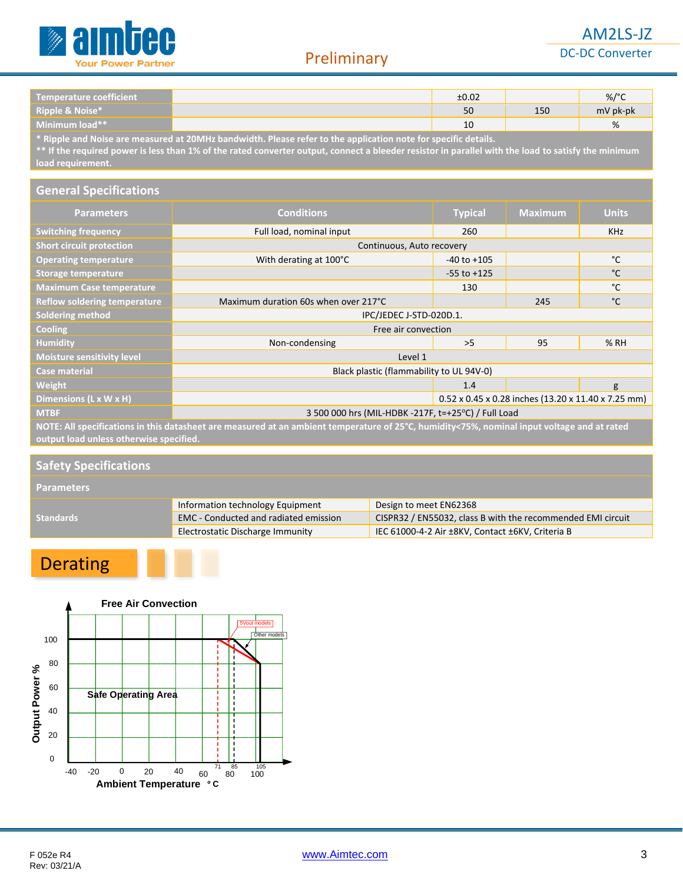

### AM2LS-JZ DC-DC Converter

| Temperature coefficient                                                                                                                                                   | ±0.02 |     | $\%$ /°  |
|---------------------------------------------------------------------------------------------------------------------------------------------------------------------------|-------|-----|----------|
| <b>Ripple &amp; Noise*</b>                                                                                                                                                | 50    | 150 | mV pk-pk |
| Minimum load**                                                                                                                                                            | 10    |     | %        |
| . A minimize and analysis are considered an AAAAAAA based of data. Interesting and the second constant $\alpha$ and $\beta$ are defined by the second constant of $\beta$ |       |     |          |

**\* Ripple and Noise are measured at 20MHz bandwidth. Please refer to the application note for specific details.**

**\*\* If the required power is less than 1% of the rated converter output, connect a bleeder resistor in parallel with the load to satisfy the minimum load requirement.** 

#### **General Specifications**

| <b>Parameters</b>                   | <b>Conditions</b>                                                                                                                                                                      | <b>Typical</b>            | <b>Maximum</b> | <b>Units</b> |  |  |  |  |  |
|-------------------------------------|----------------------------------------------------------------------------------------------------------------------------------------------------------------------------------------|---------------------------|----------------|--------------|--|--|--|--|--|
| <b>Switching frequency</b>          | Full load, nominal input                                                                                                                                                               | 260                       |                | <b>KHz</b>   |  |  |  |  |  |
| <b>Short circuit protection</b>     |                                                                                                                                                                                        | Continuous, Auto recovery |                |              |  |  |  |  |  |
| <b>Operating temperature</b>        | With derating at 100°C                                                                                                                                                                 | $-40$ to $+105$           |                | °C           |  |  |  |  |  |
| <b>Storage temperature</b>          |                                                                                                                                                                                        | $-55$ to $+125$           |                | °C           |  |  |  |  |  |
| <b>Maximum Case temperature</b>     |                                                                                                                                                                                        | 130                       |                | °C           |  |  |  |  |  |
| <b>Reflow soldering temperature</b> | Maximum duration 60s when over 217°C                                                                                                                                                   |                           | 245            | °C           |  |  |  |  |  |
| <b>Soldering method</b>             | IPC/JEDEC J-STD-020D.1.                                                                                                                                                                |                           |                |              |  |  |  |  |  |
| Cooling                             | Free air convection                                                                                                                                                                    |                           |                |              |  |  |  |  |  |
| <b>Humidity</b>                     | Non-condensing                                                                                                                                                                         | >5                        | 95             | % RH         |  |  |  |  |  |
| <b>Moisture sensitivity level</b>   | Level 1                                                                                                                                                                                |                           |                |              |  |  |  |  |  |
| <b>Case material</b>                | Black plastic (flammability to UL 94V-0)                                                                                                                                               |                           |                |              |  |  |  |  |  |
| Weight                              |                                                                                                                                                                                        | 1.4                       |                | g            |  |  |  |  |  |
| Dimensions (L x W x H)              | 0.52 x 0.45 x 0.28 inches (13.20 x 11.40 x 7.25 mm)                                                                                                                                    |                           |                |              |  |  |  |  |  |
| <b>MTBF</b>                         | 3 500 000 hrs (MIL-HDBK -217F, t=+25°C) / Full Load                                                                                                                                    |                           |                |              |  |  |  |  |  |
|                                     | NOTE: All specifications in this datasheet are measured at an ambient temperature of 25°C, humidity<75%, nominal input voltage and at rated<br>output load unless otherwise specified. |                           |                |              |  |  |  |  |  |

#### **Safety Specifications**

**Parameters**

|           | Information technology Equipment             | Design to meet EN62368                                      |
|-----------|----------------------------------------------|-------------------------------------------------------------|
| Standards | <b>EMC</b> - Conducted and radiated emission | CISPR32 / EN55032, class B with the recommended EMI circuit |
|           | Electrostatic Discharge Immunity             | IEC 61000-4-2 Air ±8KV, Contact ±6KV, Criteria B            |

# Derating

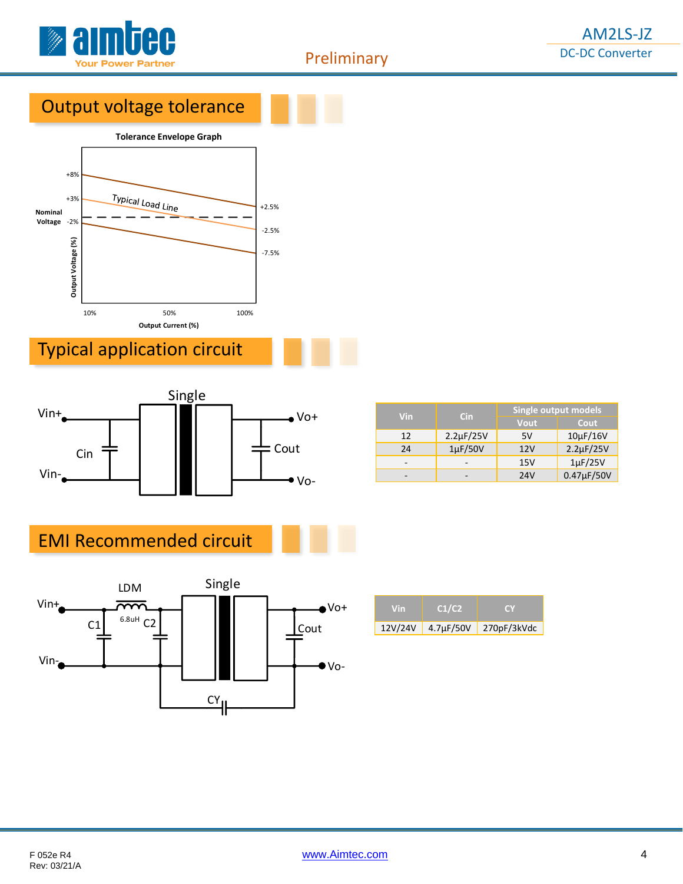

# Output voltage tolerance



# Typical application circuit



| Vin | <b>Cin</b>     | Single output models |                    |  |  |  |
|-----|----------------|----------------------|--------------------|--|--|--|
|     |                | Vout                 | Cout               |  |  |  |
| 12  | $2.2\mu F/25V$ | 5V                   | $10\mu$ F/16V      |  |  |  |
| 24  | $1\mu$ F/50V   | 12V                  | $2.2 \mu F / 25 V$ |  |  |  |
|     |                | 15V                  | $1\mu$ F/25V       |  |  |  |
|     |                | 24V                  | 0.47µF/50V         |  |  |  |

# EMI Recommended circuit



| Vin     | C1/C2          | r v                   |
|---------|----------------|-----------------------|
| 12V/24V | $4.7\mu F/50V$ | $\sqrt{270pF/3}$ kVdc |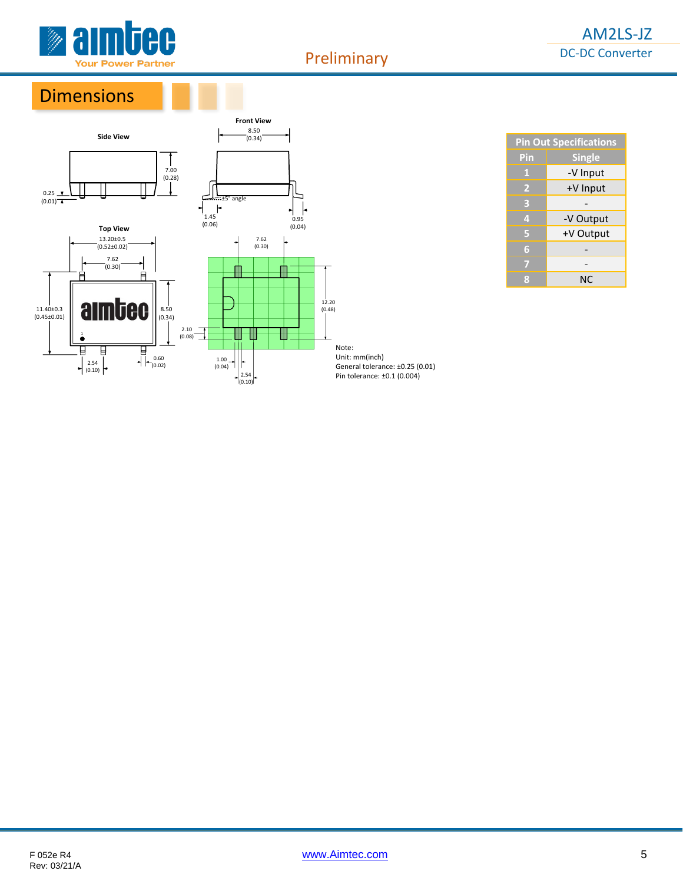

## **Dimensions**



|     | <b>Pin Out Specifications</b> |  |  |  |
|-----|-------------------------------|--|--|--|
| Pin | <b>Single</b>                 |  |  |  |
| 11  | -V Input                      |  |  |  |
| 2   | +V Input                      |  |  |  |
| в   |                               |  |  |  |
| 4   | -V Output                     |  |  |  |
| G   | +V Output                     |  |  |  |
| G   |                               |  |  |  |
|     |                               |  |  |  |
|     | NC                            |  |  |  |

Unit: mm(inch) General tolerance: ±0.25 (0.01) Pin tolerance: ±0.1 (0.004)